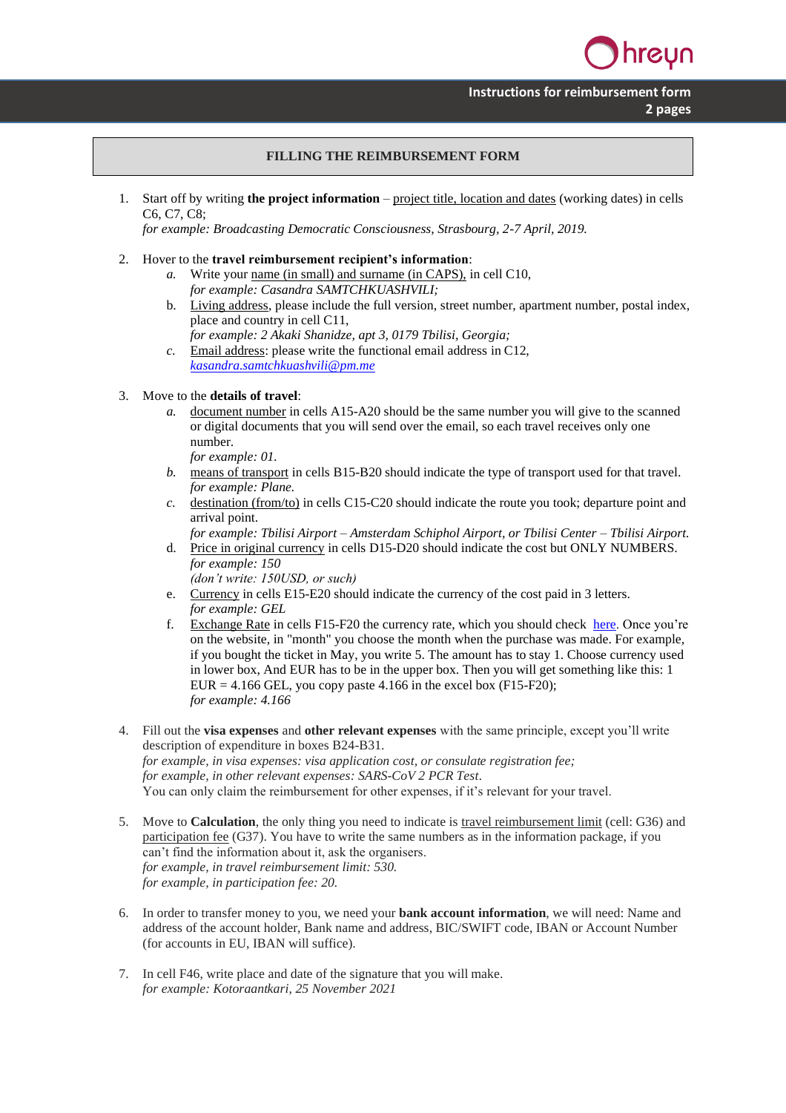## **Instructions for reimbursement form 2 pages**

## **FILLING THE REIMBURSEMENT FORM**

1. Start off by writing **the project information** – project title, location and dates (working dates) in cells C6, C7, C8;

*for example: Broadcasting Democratic Consciousness, Strasbourg, 2-7 April, 2019.*

- 2. Hover to the **travel reimbursement recipient's information**:
	- *a.* Write your name (in small) and surname (in CAPS), in cell C10,
		- *for example: Casandra SAMTCHKUASHVILI;*
	- b. Living address, please include the full version, street number, apartment number, postal index, place and country in cell C11, *for example: 2 Akaki Shanidze, apt 3, 0179 Tbilisi, Georgia;*
	- *c.* Email address: please write the functional email address in C12, *[kasandra.samtchkuashvili@pm.me](mailto:kasandra.samtchkuashvili@pm.me)*

## 3. Move to the **details of travel**:

- *a.* document number in cells A15-A20 should be the same number you will give to the scanned or digital documents that you will send over the email, so each travel receives only one number.
	- *for example: 01.*
- *b.* means of transport in cells B15-B20 should indicate the type of transport used for that travel. *for example: Plane.*
- *c.* destination (from/to) in cells C15-C20 should indicate the route you took; departure point and arrival point.
- *for example: Tbilisi Airport – Amsterdam Schiphol Airport, or Tbilisi Center – Tbilisi Airport.* d. Price in original currency in cells D15-D20 should indicate the cost but ONLY NUMBERS.
- *for example: 150 (don't write: 150USD, or such)*
- e. Currency in cells E15-E20 should indicate the currency of the cost paid in 3 letters. *for example: GEL*
- f. Exchange Rate in cells F15-F20 the currency rate, which you should check [here.](https://ec.europa.eu/info/funding-tenders/procedures-guidelines-tenders/information-contractors-and-beneficiaries/exchange-rate-inforeuro_en) Once you're on the website, in "month" you choose the month when the purchase was made. For example, if you bought the ticket in May, you write 5. The amount has to stay 1. Choose currency used in lower box, And EUR has to be in the upper box. Then you will get something like this: 1  $EUR = 4.166$  GEL, you copy paste 4.166 in the excel box (F15-F20); *for example: 4.166*
- 4. Fill out the **visa expenses** and **other relevant expenses** with the same principle, except you'll write description of expenditure in boxes B24-B31. *for example, in visa expenses: visa application cost, or consulate registration fee; for example, in other relevant expenses: SARS-CoV 2 PCR Test.* You can only claim the reimbursement for other expenses, if it's relevant for your travel.
- 5. Move to **Calculation**, the only thing you need to indicate is travel reimbursement limit (cell: G36) and participation fee (G37). You have to write the same numbers as in the information package, if you can't find the information about it, ask the organisers. *for example, in travel reimbursement limit: 530. for example, in participation fee: 20.*
- 6. In order to transfer money to you, we need your **bank account information**, we will need: Name and address of the account holder, Bank name and address, BIC/SWIFT code, IBAN or Account Number (for accounts in EU, IBAN will suffice)*.*
- 7. In cell F46, write place and date of the signature that you will make. *for example: Kotoraantkari, 25 November 2021*